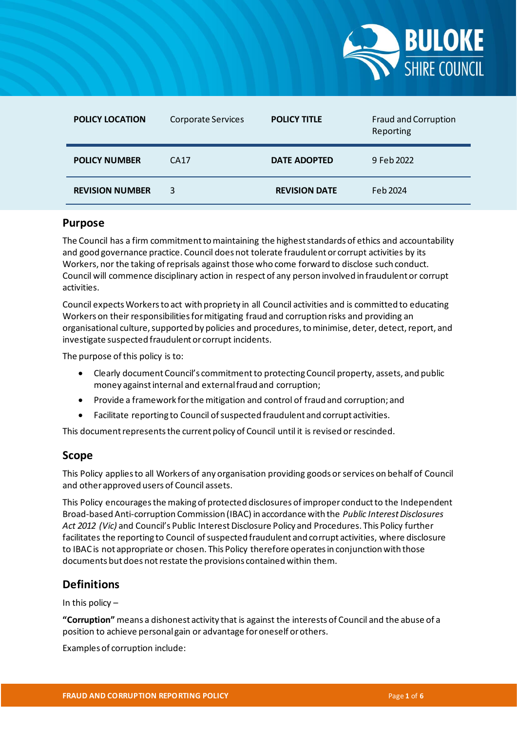

| <b>POLICY LOCATION</b> | <b>Corporate Services</b> | <b>POLICY TITLE</b>  | Fraud and Corruption<br>Reporting |
|------------------------|---------------------------|----------------------|-----------------------------------|
| <b>POLICY NUMBER</b>   | CA <sub>17</sub>          | <b>DATE ADOPTED</b>  | 9 Feb 2022                        |
| <b>REVISION NUMBER</b> | 3                         | <b>REVISION DATE</b> | Feb 2024                          |

# **Purpose**

The Council has a firm commitment to maintaining the highest standards of ethics and accountability and good governance practice. Council does not tolerate fraudulent or corrupt activities by its Workers, nor the taking of reprisals against those who come forward to disclose such conduct. Council will commence disciplinary action in respect of any person involved in fraudulent or corrupt activities.

Council expects Workers to act with propriety in all Council activities and is committed to educating Workers on their responsibilities for mitigating fraud and corruption risks and providing an organisational culture, supported by policies and procedures, to minimise, deter, detect, report, and investigate suspected fraudulent or corrupt incidents.

The purpose of this policy is to:

- Clearly document Council's commitment to protecting Council property, assets, and public money against internal and external fraud and corruption;
- Provide a framework for the mitigation and control of fraud and corruption; and
- Facilitate reporting to Council of suspected fraudulent and corrupt activities.

This document represents the current policy of Council until it is revised or rescinded.

# **Scope**

This Policy applies to all Workers of any organisation providing goods or services on behalf of Council and other approved users of Council assets.

This Policy encourages the making of protected disclosures of improper conduct to the Independent Broad-based Anti-corruption Commission (IBAC) in accordance with the *Public Interest Disclosures Act 2012 (Vic)* and Council's Public Interest Disclosure Policy and Procedures. This Policy further facilitates the reporting to Council of suspected fraudulent and corrupt activities, where disclosure to IBAC is not appropriate or chosen. This Policy therefore operates in conjunction with those documents but does not restate the provisions contained within them.

# **Definitions**

In this policy –

**"Corruption"** means a dishonest activity that is against the interests of Council and the abuse of a position to achieve personal gain or advantage for oneself or others.

Examples of corruption include: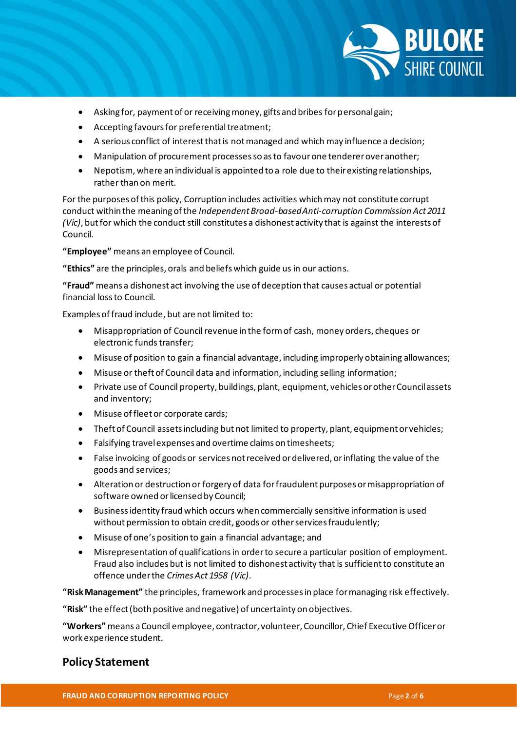

- Asking for, payment of or receiving money, gifts and bribes for personal gain;
- Accepting favours for preferential treatment;
- A serious conflict of interest that is not managed and which may influence a decision;
- Manipulation of procurement processes so as to favour one tenderer over another;
- Nepotism, where an individual is appointed to a role due to their existing relationships, rather than on merit.

For the purposes of this policy, Corruption includes activities which may not constitute corrupt conduct within the meaning of the *Independent Broad-based Anti-corruption Commission Act 2011 (Vic)*, but for which the conduct still constitutes a dishonest activity that is against the interests of Council.

**"Employee"** means an employee of Council.

**"Ethics"** are the principles, orals and beliefs which guide us in our actions.

**"Fraud"** means a dishonest act involving the use of deception that causes actual or potential financial loss to Council.

Examples of fraud include, but are not limited to:

- Misappropriation of Council revenue in the form of cash, money orders, cheques or electronic funds transfer;
- Misuse of position to gain a financial advantage, including improperly obtaining allowances;
- Misuse or theft of Council data and information, including selling information;
- Private use of Council property, buildings, plant, equipment, vehicles or other Council assets and inventory;
- Misuse of fleet or corporate cards;
- Theft of Council assets including but not limited to property, plant, equipment or vehicles;
- Falsifying travel expenses and overtime claims on timesheets;
- False invoicing of goods or services not received or delivered, or inflating the value of the goods and services;
- Alteration or destruction or forgery of data for fraudulent purposes or misappropriation of software owned or licensed by Council;
- Business identity fraud which occurs when commercially sensitive information is used without permission to obtain credit, goods or other services fraudulently;
- Misuse of one's position to gain a financial advantage; and
- Misrepresentation of qualifications in order to secure a particular position of employment. Fraud also includes but is not limited to dishonest activity that is sufficient to constitute an offence under the *Crimes Act 1958 (Vic)*.

**"Risk Management"** the principles, framework and processes in place for managing risk effectively.

**"Risk"** the effect (both positive and negative) of uncertainty on objectives.

**"Workers"** means a Council employee, contractor, volunteer, Councillor, Chief Executive Officer or work experience student.

# **Policy Statement**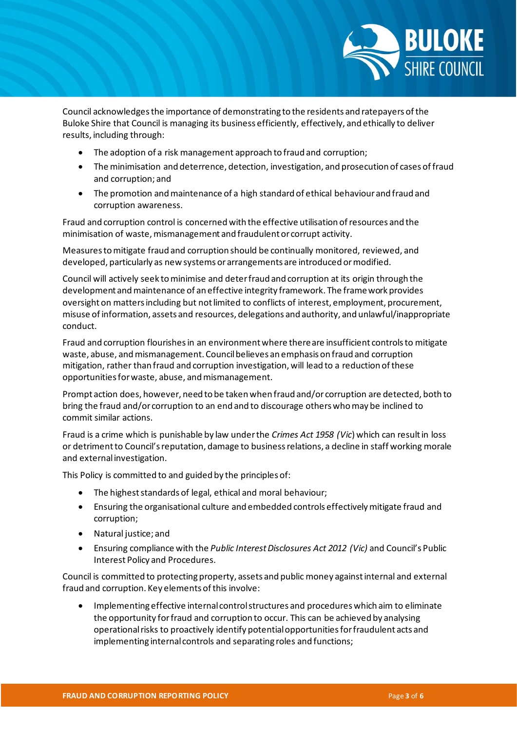

Council acknowledges the importance of demonstrating to the residents and ratepayers of the Buloke Shire that Council is managing its business efficiently, effectively, and ethically to deliver results, including through:

- The adoption of a risk management approach to fraud and corruption;
- The minimisation and deterrence, detection, investigation, and prosecution of cases of fraud and corruption; and
- The promotion and maintenance of a high standard of ethical behaviour and fraud and corruption awareness.

Fraud and corruption control is concerned with the effective utilisation of resources and the minimisation of waste, mismanagement and fraudulent or corrupt activity.

Measures to mitigate fraud and corruption should be continually monitored, reviewed, and developed, particularly as new systems or arrangements are introduced or modified.

Council will actively seek to minimise and deter fraud and corruption at its origin through the development and maintenance of an effective integrity framework. The framework provides oversight on matters including but not limited to conflicts of interest, employment, procurement, misuse of information, assets and resources, delegations and authority, and unlawful/inappropriate conduct.

Fraud and corruption flourishes in an environment where there are insufficient controls to mitigate waste, abuse, and mismanagement. Council believes an emphasis on fraud and corruption mitigation, rather than fraud and corruption investigation, will lead to a reduction of these opportunities for waste, abuse, and mismanagement.

Prompt action does, however, need to be taken when fraud and/or corruption are detected, both to bring the fraud and/or corruption to an end and to discourage others who may be inclined to commit similar actions.

Fraud is a crime which is punishable by law under the *Crimes Act 1958 (Vic*) which can result in loss or detriment to Council's reputation, damage to business relations, a decline in staff working morale and external investigation.

This Policy is committed to and guided by the principles of:

- The highest standards of legal, ethical and moral behaviour;
- Ensuring the organisational culture and embedded controls effectively mitigate fraud and corruption;
- Natural justice; and
- Ensuring compliance with the *Public Interest Disclosures Act 2012 (Vic)* and Council's Public Interest Policy and Procedures.

Council is committed to protecting property, assets and public money against internal and external fraud and corruption. Key elements of this involve:

• Implementing effective internal control structures and procedures which aim to eliminate the opportunity for fraud and corruption to occur. This can be achieved by analysing operational risks to proactively identify potential opportunities for fraudulent acts and implementing internal controls and separating roles and functions;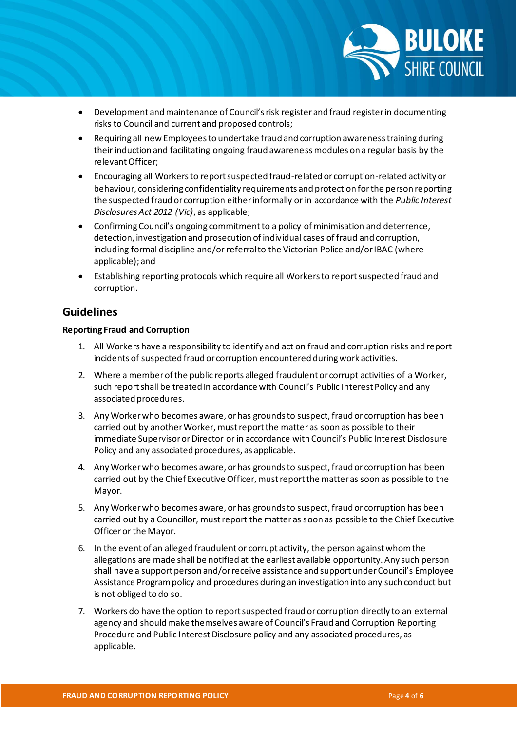

- Development and maintenance of Council's risk register and fraud register in documenting risks to Council and current and proposed controls;
- Requiring all new Employees to undertake fraud and corruption awareness training during their induction and facilitating ongoing fraud awareness modules on a regular basis by the relevant Officer:
- Encouraging all Workers to report suspected fraud-related or corruption-related activity or behaviour, considering confidentiality requirements and protection for the person reporting the suspected fraud or corruption either informally or in accordance with the *Public Interest Disclosures Act 2012 (Vic)*, as applicable;
- Confirming Council's ongoing commitment to a policy of minimisation and deterrence, detection, investigation and prosecution of individual cases of fraud and corruption, including formal discipline and/or referral to the Victorian Police and/or IBAC (where applicable); and
- Establishing reporting protocols which require all Workers to report suspected fraud and corruption.

# **Guidelines**

## **Reporting Fraud and Corruption**

- 1. All Workers have a responsibility to identify and act on fraud and corruption risks and report incidents of suspected fraud or corruption encountered during work activities.
- 2. Where a member of the public reports alleged fraudulent or corrupt activities of a Worker, such report shall be treated in accordance with Council's Public Interest Policy and any associated procedures.
- 3. Any Worker who becomes aware, or has grounds to suspect, fraud or corruption has been carried out by another Worker, must report the matter as soon as possible to their immediate Supervisor or Director or in accordance with Council's Public Interest Disclosure Policy and any associated procedures, as applicable.
- 4. Any Worker who becomes aware, or has grounds to suspect, fraud or corruption has been carried out by the Chief Executive Officer, must report the matter as soon as possible to the Mayor.
- 5. Any Worker who becomes aware, or has grounds to suspect, fraud or corruption has been carried out by a Councillor, must report the matter as soon as possible to the Chief Executive Officer or the Mayor.
- 6. In the event of an alleged fraudulent or corrupt activity, the person against whom the allegations are made shall be notified at the earliest available opportunity. Any such person shall have a support person and/or receive assistance and support under Council's Employee Assistance Program policy and procedures during an investigation into any such conduct but is not obliged to do so.
- 7. Workers do have the option to report suspected fraud or corruption directly to an external agency and should make themselves aware of Council's Fraud and Corruption Reporting Procedure and Public Interest Disclosure policy and any associated procedures, as applicable.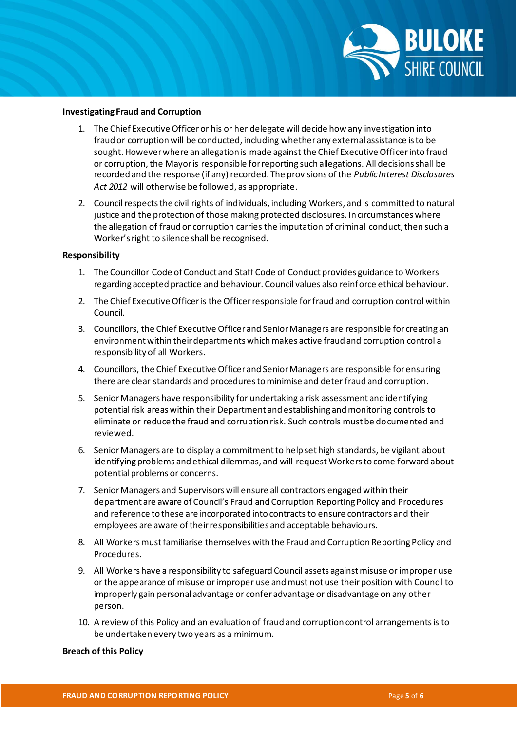

### **Investigating Fraud and Corruption**

- 1. The Chief Executive Officer or his or her delegate will decide how any investigation into fraud or corruption will be conducted, including whether any external assistance is to be sought. However where an allegation is made against the Chief Executive Officer into fraud or corruption, the Mayor is responsible for reporting such allegations. All decisions shall be recorded and the response (if any) recorded. The provisions of the *Public Interest Disclosures Act 2012* will otherwise be followed, as appropriate.
- 2. Council respects the civil rights of individuals, including Workers, and is committed to natural justice and the protection of those making protected disclosures. In circumstances where the allegation of fraud or corruption carries the imputation of criminal conduct, then such a Worker's right to silence shall be recognised.

### **Responsibility**

- 1. The Councillor Code of Conduct and Staff Code of Conduct provides guidance to Workers regarding accepted practice and behaviour. Council values also reinforce ethical behaviour.
- 2. The Chief Executive Officer is the Officer responsible for fraud and corruption control within Council.
- 3. Councillors, the Chief Executive Officer and Senior Managers are responsible for creating an environment within their departments which makes active fraud and corruption control a responsibility of all Workers.
- 4. Councillors, the Chief Executive Officer and Senior Managers are responsible for ensuring there are clear standards and procedures to minimise and deter fraud and corruption.
- 5. Senior Managers have responsibility for undertaking a risk assessment and identifying potential risk areas within their Department and establishing and monitoring controls to eliminate or reduce the fraud and corruption risk. Such controls must be documented and reviewed.
- 6. Senior Managers are to display a commitment to help set high standards, be vigilant about identifying problems and ethical dilemmas, and will request Workers to come forward about potential problems or concerns.
- 7. Senior Managers and Supervisors will ensure all contractors engaged within their department are aware of Council's Fraud and Corruption Reporting Policy and Procedures and reference to these are incorporated into contracts to ensure contractors and their employees are aware of their responsibilities and acceptable behaviours.
- 8. All Workers must familiarise themselves with the Fraud and Corruption Reporting Policy and Procedures.
- 9. All Workers have a responsibility to safeguard Council assets against misuse or improper use or the appearance of misuse or improper use and must not use their position with Council to improperly gain personal advantage or confer advantage or disadvantage on any other person.
- 10. A review of this Policy and an evaluation of fraud and corruption control arrangements is to be undertaken every two years as a minimum.

### **Breach of this Policy**